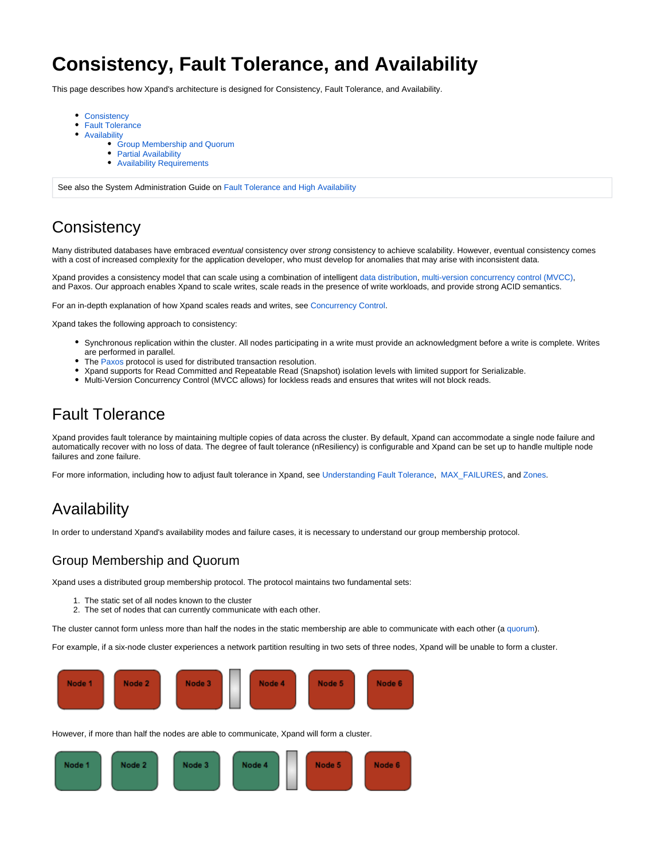# **Consistency, Fault Tolerance, and Availability**

This page describes how Xpand's architecture is designed for Consistency, Fault Tolerance, and Availability.

- [Consistency](#page-0-0)
- [Fault Tolerance](#page-0-1)
- [Availability](#page-0-2)
	- [Group Membership and Quorum](#page-0-3)
	- [Partial Availability](#page-1-0)
	- [Availability Requirements](#page-1-1)

See also the System Administration Guide on [Fault Tolerance and High Availability](https://docs.clustrix.com/display/CLXDOC/Fault+Tolerance+and+High+Availability)

## <span id="page-0-0"></span>**Consistency**

Many distributed databases have embraced eventual consistency over strong consistency to achieve scalability. However, eventual consistency comes with a cost of increased complexity for the application developer, who must develop for anomalies that may arise with inconsistent data.

Xpand provides a consistency model that can scale using a combination of intelligent [data distribution](https://docs.clustrix.com/display/CLXDOC/Data+Distribution), [multi-version concurrency control \(MVCC\),](https://docs.clustrix.com/display/CLXDOC/Concurrency+Control) and Paxos. Our approach enables Xpand to scale writes, scale reads in the presence of write workloads, and provide strong ACID semantics.

For an in-depth explanation of how Xpand scales reads and writes, see [Concurrency Control.](https://docs.clustrix.com/display/CLXDOC/Concurrency+Control)

Xpand takes the following approach to consistency:

- Synchronous replication within the cluster. All nodes participating in a write must provide an acknowledgment before a write is complete. Writes are performed in parallel.
- The [Paxos p](http://en.wikipedia.org/wiki/Paxos_(computer_science))rotocol is used for distributed transaction resolution.
- Xpand supports for Read Committed and Repeatable Read (Snapshot) isolation levels with limited support for Serializable.
- Multi-Version Concurrency Control (MVCC allows) for lockless reads and ensures that writes will not block reads.

### <span id="page-0-1"></span>Fault Tolerance

Xpand provides fault tolerance by maintaining multiple copies of data across the cluster. By default, Xpand can accommodate a single node failure and automatically recover with no loss of data. The degree of fault tolerance (nResiliency) is configurable and Xpand can be set up to handle multiple node failures and zone failure.

For more information, including how to adjust fault tolerance in Xpand, see [Understanding Fault Tolerance,](https://docs.clustrix.com/display/CLXDOC/Understanding+Fault+Tolerance) [MAX\\_FAILURES](https://docs.clustrix.com/display/CLXDOC/ALTER+CLUSTER+Syntax#ALTERCLUSTERSyntax-max_failures), and [Zones.](https://docs.clustrix.com/display/CLXDOC/Zones)

### <span id="page-0-2"></span>Availability

In order to understand Xpand's availability modes and failure cases, it is necessary to understand our group membership protocol.

#### <span id="page-0-3"></span>Group Membership and Quorum

Xpand uses a distributed group membership protocol. The protocol maintains two fundamental sets:

- 1. The static set of all nodes known to the cluster
- 2. The set of nodes that can currently communicate with each other.

The cluster cannot form unless more than half the nodes in the static membership are able to communicate with each other (a [quorum](https://docs.clustrix.com/display/CLXDOC/Glossary+of+Terms#GlossaryofTerms-Quorum)).

For example, if a six-node cluster experiences a network partition resulting in two sets of three nodes, Xpand will be unable to form a cluster.



However, if more than half the nodes are able to communicate, Xpand will form a cluster.